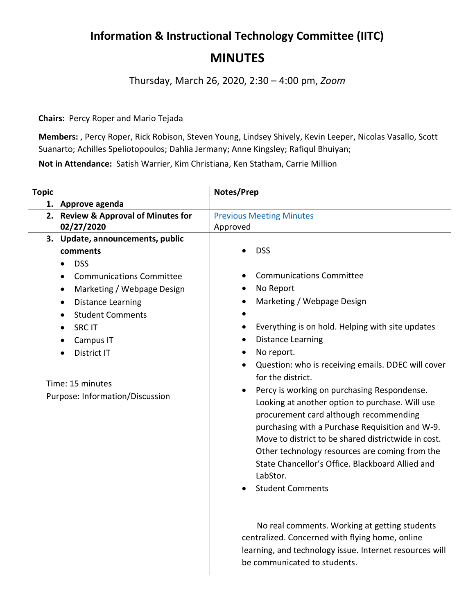## **Information & Instructional Technology Committee (IITC) MINUTES**

Thursday, March 26, 2020, 2:30 – 4:00 pm, *Zoom*

**Chairs:** Percy Roper and Mario Tejada

**Members:** , Percy Roper, Rick Robison, Steven Young, Lindsey Shively, Kevin Leeper, Nicolas Vasallo, Scott Suanarto; Achilles Speliotopoulos; Dahlia Jermany; Anne Kingsley; Rafiqul Bhuiyan;

**Not in Attendance:** Satish Warrier, Kim Christiana, Ken Statham, Carrie Million

| <b>Topic</b> |                                                     | Notes/Prep                                                                                                                                                                                                                                                                                                                                                                                                                                                                 |
|--------------|-----------------------------------------------------|----------------------------------------------------------------------------------------------------------------------------------------------------------------------------------------------------------------------------------------------------------------------------------------------------------------------------------------------------------------------------------------------------------------------------------------------------------------------------|
| 1.           | Approve agenda                                      |                                                                                                                                                                                                                                                                                                                                                                                                                                                                            |
|              | 2. Review & Approval of Minutes for                 | <b>Previous Meeting Minutes</b>                                                                                                                                                                                                                                                                                                                                                                                                                                            |
|              | 02/27/2020                                          | Approved                                                                                                                                                                                                                                                                                                                                                                                                                                                                   |
|              | 3. Update, announcements, public                    |                                                                                                                                                                                                                                                                                                                                                                                                                                                                            |
|              | comments                                            | <b>DSS</b>                                                                                                                                                                                                                                                                                                                                                                                                                                                                 |
|              | <b>DSS</b>                                          |                                                                                                                                                                                                                                                                                                                                                                                                                                                                            |
|              | <b>Communications Committee</b>                     | <b>Communications Committee</b>                                                                                                                                                                                                                                                                                                                                                                                                                                            |
|              | Marketing / Webpage Design<br>$\bullet$             | No Report                                                                                                                                                                                                                                                                                                                                                                                                                                                                  |
|              | <b>Distance Learning</b><br>$\bullet$               | Marketing / Webpage Design                                                                                                                                                                                                                                                                                                                                                                                                                                                 |
|              | <b>Student Comments</b><br>$\bullet$                |                                                                                                                                                                                                                                                                                                                                                                                                                                                                            |
|              | <b>SRC IT</b>                                       | Everything is on hold. Helping with site updates                                                                                                                                                                                                                                                                                                                                                                                                                           |
|              | Campus IT                                           | <b>Distance Learning</b>                                                                                                                                                                                                                                                                                                                                                                                                                                                   |
|              | District IT                                         | No report.                                                                                                                                                                                                                                                                                                                                                                                                                                                                 |
|              | Time: 15 minutes<br>Purpose: Information/Discussion | Question: who is receiving emails. DDEC will cover<br>for the district.<br>Percy is working on purchasing Respondense.<br>Looking at another option to purchase. Will use<br>procurement card although recommending<br>purchasing with a Purchase Requisition and W-9.<br>Move to district to be shared districtwide in cost.<br>Other technology resources are coming from the<br>State Chancellor's Office. Blackboard Allied and<br>LabStor.<br><b>Student Comments</b> |
|              |                                                     | No real comments. Working at getting students<br>centralized. Concerned with flying home, online<br>learning, and technology issue. Internet resources will<br>be communicated to students.                                                                                                                                                                                                                                                                                |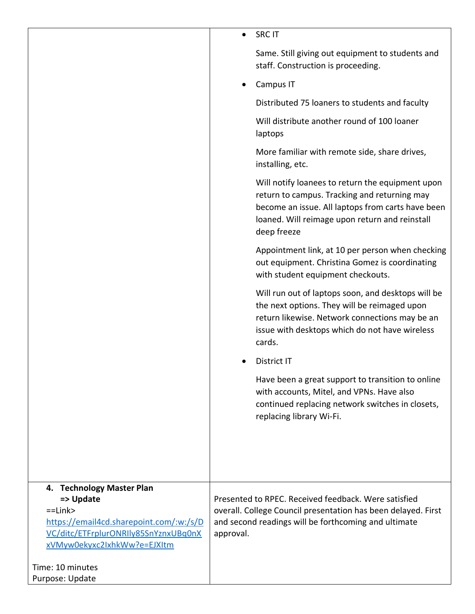|                                                                                                                                             | <b>SRC IT</b>                                                                                                                                                                                                          |
|---------------------------------------------------------------------------------------------------------------------------------------------|------------------------------------------------------------------------------------------------------------------------------------------------------------------------------------------------------------------------|
|                                                                                                                                             | Same. Still giving out equipment to students and<br>staff. Construction is proceeding.                                                                                                                                 |
|                                                                                                                                             | Campus IT                                                                                                                                                                                                              |
|                                                                                                                                             | Distributed 75 loaners to students and faculty                                                                                                                                                                         |
|                                                                                                                                             | Will distribute another round of 100 loaner<br>laptops                                                                                                                                                                 |
|                                                                                                                                             | More familiar with remote side, share drives,<br>installing, etc.                                                                                                                                                      |
|                                                                                                                                             | Will notify loanees to return the equipment upon<br>return to campus. Tracking and returning may<br>become an issue. All laptops from carts have been<br>loaned. Will reimage upon return and reinstall<br>deep freeze |
|                                                                                                                                             | Appointment link, at 10 per person when checking<br>out equipment. Christina Gomez is coordinating<br>with student equipment checkouts.                                                                                |
|                                                                                                                                             | Will run out of laptops soon, and desktops will be<br>the next options. They will be reimaged upon<br>return likewise. Network connections may be an<br>issue with desktops which do not have wireless<br>cards.       |
|                                                                                                                                             | District IT                                                                                                                                                                                                            |
|                                                                                                                                             | Have been a great support to transition to online<br>with accounts, Mitel, and VPNs. Have also<br>continued replacing network switches in closets,<br>replacing library Wi-Fi.                                         |
|                                                                                                                                             |                                                                                                                                                                                                                        |
| 4. Technology Master Plan                                                                                                                   |                                                                                                                                                                                                                        |
| => Update<br>$=$ Link $>$<br>https://email4cd.sharepoint.com/:w:/s/D<br>VC/ditc/ETFrplurONRIly85SnYznxUBq0nX<br>xVMyw0ekyxc2IxhkWw?e=EJXItm | Presented to RPEC. Received feedback. Were satisfied<br>overall. College Council presentation has been delayed. First<br>and second readings will be forthcoming and ultimate<br>approval.                             |
| Time: 10 minutes                                                                                                                            |                                                                                                                                                                                                                        |
| Purpose: Update                                                                                                                             |                                                                                                                                                                                                                        |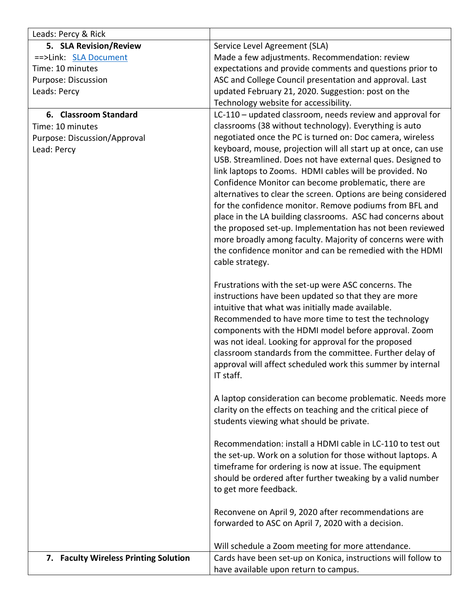| Leads: Percy & Rick                   |                                                                                                              |
|---------------------------------------|--------------------------------------------------------------------------------------------------------------|
| 5. SLA Revision/Review                | Service Level Agreement (SLA)                                                                                |
| ==>Link: SLA Document                 | Made a few adjustments. Recommendation: review                                                               |
| Time: 10 minutes                      | expectations and provide comments and questions prior to                                                     |
| Purpose: Discussion                   | ASC and College Council presentation and approval. Last                                                      |
| Leads: Percy                          | updated February 21, 2020. Suggestion: post on the                                                           |
|                                       | Technology website for accessibility.                                                                        |
| 6. Classroom Standard                 | LC-110 - updated classroom, needs review and approval for                                                    |
| Time: 10 minutes                      | classrooms (38 without technology). Everything is auto                                                       |
| Purpose: Discussion/Approval          | negotiated once the PC is turned on: Doc camera, wireless                                                    |
| Lead: Percy                           | keyboard, mouse, projection will all start up at once, can use                                               |
|                                       | USB. Streamlined. Does not have external ques. Designed to                                                   |
|                                       | link laptops to Zooms. HDMI cables will be provided. No                                                      |
|                                       | Confidence Monitor can become problematic, there are                                                         |
|                                       | alternatives to clear the screen. Options are being considered                                               |
|                                       | for the confidence monitor. Remove podiums from BFL and                                                      |
|                                       | place in the LA building classrooms. ASC had concerns about                                                  |
|                                       | the proposed set-up. Implementation has not been reviewed                                                    |
|                                       | more broadly among faculty. Majority of concerns were with                                                   |
|                                       | the confidence monitor and can be remedied with the HDMI                                                     |
|                                       | cable strategy.                                                                                              |
|                                       |                                                                                                              |
|                                       | Frustrations with the set-up were ASC concerns. The                                                          |
|                                       | instructions have been updated so that they are more                                                         |
|                                       | intuitive that what was initially made available.                                                            |
|                                       | Recommended to have more time to test the technology<br>components with the HDMI model before approval. Zoom |
|                                       | was not ideal. Looking for approval for the proposed                                                         |
|                                       | classroom standards from the committee. Further delay of                                                     |
|                                       | approval will affect scheduled work this summer by internal                                                  |
|                                       | IT staff.                                                                                                    |
|                                       |                                                                                                              |
|                                       | A laptop consideration can become problematic. Needs more                                                    |
|                                       | clarity on the effects on teaching and the critical piece of                                                 |
|                                       | students viewing what should be private.                                                                     |
|                                       | Recommendation: install a HDMI cable in LC-110 to test out                                                   |
|                                       | the set-up. Work on a solution for those without laptops. A                                                  |
|                                       | timeframe for ordering is now at issue. The equipment                                                        |
|                                       | should be ordered after further tweaking by a valid number                                                   |
|                                       | to get more feedback.                                                                                        |
|                                       |                                                                                                              |
|                                       | Reconvene on April 9, 2020 after recommendations are                                                         |
|                                       | forwarded to ASC on April 7, 2020 with a decision.                                                           |
|                                       | Will schedule a Zoom meeting for more attendance.                                                            |
| 7. Faculty Wireless Printing Solution | Cards have been set-up on Konica, instructions will follow to                                                |
|                                       | have available upon return to campus.                                                                        |